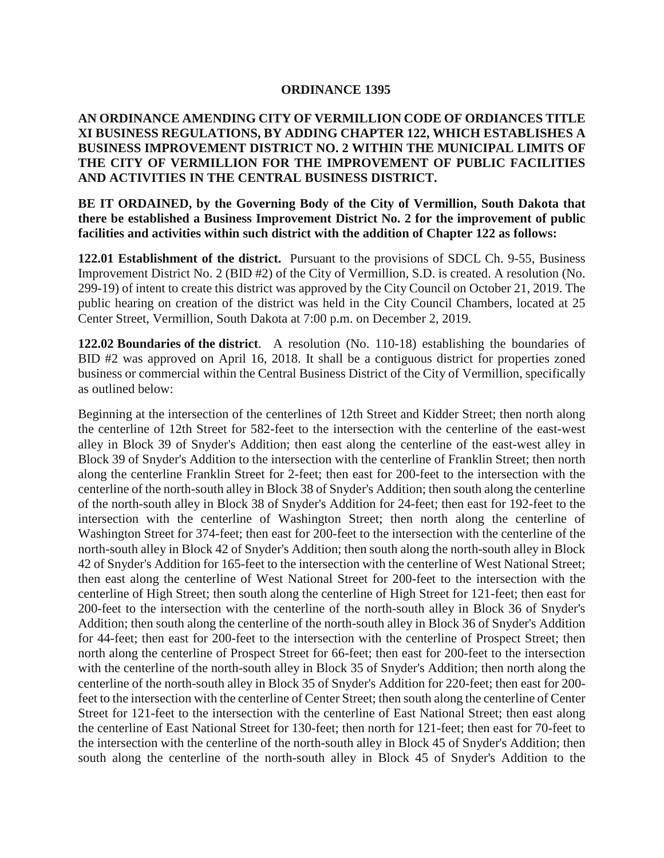## **ORDINANCE 1395**

## **AN ORDINANCE AMENDING CITY OF VERMILLION CODE OF ORDIANCES TITLE XI BUSINESS REGULATIONS, BY ADDING CHAPTER 122, WHICH ESTABLISHES A BUSINESS IMPROVEMENT DISTRICT NO. 2 WITHIN THE MUNICIPAL LIMITS OF THE CITY OF VERMILLION FOR THE IMPROVEMENT OF PUBLIC FACILITIES AND ACTIVITIES IN THE CENTRAL BUSINESS DISTRICT.**

**BE IT ORDAINED, by the Governing Body of the City of Vermillion, South Dakota that there be established a Business Improvement District No. 2 for the improvement of public facilities and activities within such district with the addition of Chapter 122 as follows:**

**122.01 Establishment of the district.** Pursuant to the provisions of SDCL Ch. 9-55, Business Improvement District No. 2 (BID #2) of the City of Vermillion, S.D. is created. A resolution (No. 299-19) of intent to create this district was approved by the City Council on October 21, 2019. The public hearing on creation of the district was held in the City Council Chambers, located at 25 Center Street, Vermillion, South Dakota at 7:00 p.m. on December 2, 2019.

**122.02 Boundaries of the district**. A resolution (No. 110-18) establishing the boundaries of BID #2 was approved on April 16, 2018. It shall be a contiguous district for properties zoned business or commercial within the Central Business District of the City of Vermillion, specifically as outlined below:

Beginning at the intersection of the centerlines of 12th Street and Kidder Street; then north along the centerline of 12th Street for 582-feet to the intersection with the centerline of the east-west alley in Block 39 of Snyder's Addition; then east along the centerline of the east-west alley in Block 39 of Snyder's Addition to the intersection with the centerline of Franklin Street; then north along the centerline Franklin Street for 2-feet; then east for 200-feet to the intersection with the centerline of the north-south alley in Block 38 of Snyder's Addition; then south along the centerline of the north-south alley in Block 38 of Snyder's Addition for 24-feet; then east for 192-feet to the intersection with the centerline of Washington Street; then north along the centerline of Washington Street for 374-feet; then east for 200-feet to the intersection with the centerline of the north-south alley in Block 42 of Snyder's Addition; then south along the north-south alley in Block 42 of Snyder's Addition for 165-feet to the intersection with the centerline of West National Street; then east along the centerline of West National Street for 200-feet to the intersection with the centerline of High Street; then south along the centerline of High Street for 121-feet; then east for 200-feet to the intersection with the centerline of the north-south alley in Block 36 of Snyder's Addition; then south along the centerline of the north-south alley in Block 36 of Snyder's Addition for 44-feet; then east for 200-feet to the intersection with the centerline of Prospect Street; then north along the centerline of Prospect Street for 66-feet; then east for 200-feet to the intersection with the centerline of the north-south alley in Block 35 of Snyder's Addition; then north along the centerline of the north-south alley in Block 35 of Snyder's Addition for 220-feet; then east for 200 feet to the intersection with the centerline of Center Street; then south along the centerline of Center Street for 121-feet to the intersection with the centerline of East National Street; then east along the centerline of East National Street for 130-feet; then north for 121-feet; then east for 70-feet to the intersection with the centerline of the north-south alley in Block 45 of Snyder's Addition; then south along the centerline of the north-south alley in Block 45 of Snyder's Addition to the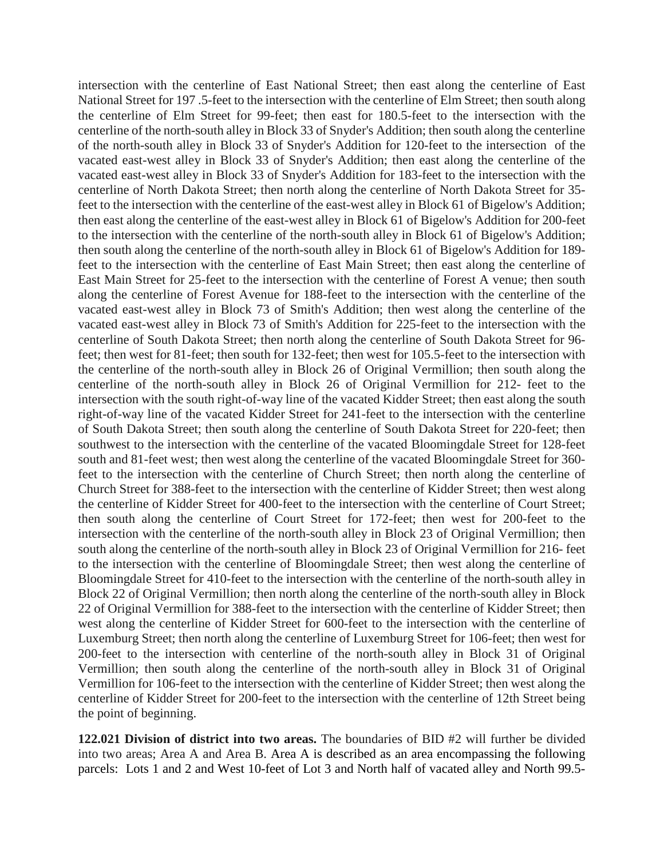intersection with the centerline of East National Street; then east along the centerline of East National Street for 197 .5-feet to the intersection with the centerline of Elm Street; then south along the centerline of Elm Street for 99-feet; then east for 180.5-feet to the intersection with the centerline of the north-south alley in Block 33 of Snyder's Addition; then south along the centerline of the north-south alley in Block 33 of Snyder's Addition for 120-feet to the intersection of the vacated east-west alley in Block 33 of Snyder's Addition; then east along the centerline of the vacated east-west alley in Block 33 of Snyder's Addition for 183-feet to the intersection with the centerline of North Dakota Street; then north along the centerline of North Dakota Street for 35 feet to the intersection with the centerline of the east-west alley in Block 61 of Bigelow's Addition; then east along the centerline of the east-west alley in Block 61 of Bigelow's Addition for 200-feet to the intersection with the centerline of the north-south alley in Block 61 of Bigelow's Addition; then south along the centerline of the north-south alley in Block 61 of Bigelow's Addition for 189 feet to the intersection with the centerline of East Main Street; then east along the centerline of East Main Street for 25-feet to the intersection with the centerline of Forest A venue; then south along the centerline of Forest Avenue for 188-feet to the intersection with the centerline of the vacated east-west alley in Block 73 of Smith's Addition; then west along the centerline of the vacated east-west alley in Block 73 of Smith's Addition for 225-feet to the intersection with the centerline of South Dakota Street; then north along the centerline of South Dakota Street for 96 feet; then west for 81-feet; then south for 132-feet; then west for 105.5-feet to the intersection with the centerline of the north-south alley in Block 26 of Original Vermillion; then south along the centerline of the north-south alley in Block 26 of Original Vermillion for 212- feet to the intersection with the south right-of-way line of the vacated Kidder Street; then east along the south right-of-way line of the vacated Kidder Street for 241-feet to the intersection with the centerline of South Dakota Street; then south along the centerline of South Dakota Street for 220-feet; then southwest to the intersection with the centerline of the vacated Bloomingdale Street for 128-feet south and 81-feet west; then west along the centerline of the vacated Bloomingdale Street for 360 feet to the intersection with the centerline of Church Street; then north along the centerline of Church Street for 388-feet to the intersection with the centerline of Kidder Street; then west along the centerline of Kidder Street for 400-feet to the intersection with the centerline of Court Street; then south along the centerline of Court Street for 172-feet; then west for 200-feet to the intersection with the centerline of the north-south alley in Block 23 of Original Vermillion; then south along the centerline of the north-south alley in Block 23 of Original Vermillion for 216- feet to the intersection with the centerline of Bloomingdale Street; then west along the centerline of Bloomingdale Street for 410-feet to the intersection with the centerline of the north-south alley in Block 22 of Original Vermillion; then north along the centerline of the north-south alley in Block 22 of Original Vermillion for 388-feet to the intersection with the centerline of Kidder Street; then west along the centerline of Kidder Street for 600-feet to the intersection with the centerline of Luxemburg Street; then north along the centerline of Luxemburg Street for 106-feet; then west for 200-feet to the intersection with centerline of the north-south alley in Block 31 of Original Vermillion; then south along the centerline of the north-south alley in Block 31 of Original Vermillion for 106-feet to the intersection with the centerline of Kidder Street; then west along the centerline of Kidder Street for 200-feet to the intersection with the centerline of 12th Street being the point of beginning.

**122.021 Division of district into two areas.** The boundaries of BID #2 will further be divided into two areas; Area A and Area B. Area A is described as an area encompassing the following parcels: Lots 1 and 2 and West 10-feet of Lot 3 and North half of vacated alley and North 99.5-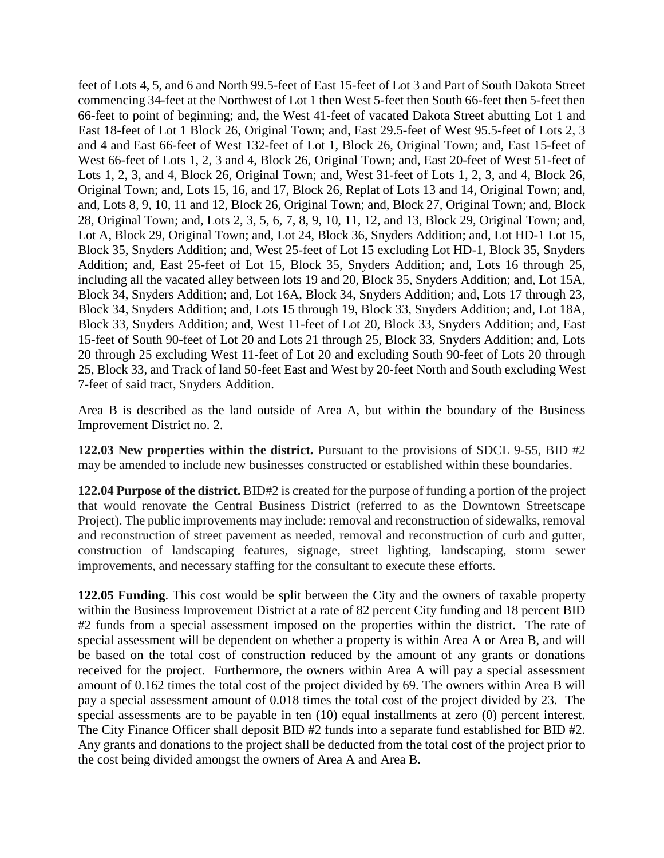feet of Lots 4, 5, and 6 and North 99.5-feet of East 15-feet of Lot 3 and Part of South Dakota Street commencing 34-feet at the Northwest of Lot 1 then West 5-feet then South 66-feet then 5-feet then 66-feet to point of beginning; and, the West 41-feet of vacated Dakota Street abutting Lot 1 and East 18-feet of Lot 1 Block 26, Original Town; and, East 29.5-feet of West 95.5-feet of Lots 2, 3 and 4 and East 66-feet of West 132-feet of Lot 1, Block 26, Original Town; and, East 15-feet of West 66-feet of Lots 1, 2, 3 and 4, Block 26, Original Town; and, East 20-feet of West 51-feet of Lots 1, 2, 3, and 4, Block 26, Original Town; and, West 31-feet of Lots 1, 2, 3, and 4, Block 26, Original Town; and, Lots 15, 16, and 17, Block 26, Replat of Lots 13 and 14, Original Town; and, and, Lots 8, 9, 10, 11 and 12, Block 26, Original Town; and, Block 27, Original Town; and, Block 28, Original Town; and, Lots 2, 3, 5, 6, 7, 8, 9, 10, 11, 12, and 13, Block 29, Original Town; and, Lot A, Block 29, Original Town; and, Lot 24, Block 36, Snyders Addition; and, Lot HD-1 Lot 15, Block 35, Snyders Addition; and, West 25-feet of Lot 15 excluding Lot HD-1, Block 35, Snyders Addition; and, East 25-feet of Lot 15, Block 35, Snyders Addition; and, Lots 16 through 25, including all the vacated alley between lots 19 and 20, Block 35, Snyders Addition; and, Lot 15A, Block 34, Snyders Addition; and, Lot 16A, Block 34, Snyders Addition; and, Lots 17 through 23, Block 34, Snyders Addition; and, Lots 15 through 19, Block 33, Snyders Addition; and, Lot 18A, Block 33, Snyders Addition; and, West 11-feet of Lot 20, Block 33, Snyders Addition; and, East 15-feet of South 90-feet of Lot 20 and Lots 21 through 25, Block 33, Snyders Addition; and, Lots 20 through 25 excluding West 11-feet of Lot 20 and excluding South 90-feet of Lots 20 through 25, Block 33, and Track of land 50-feet East and West by 20-feet North and South excluding West 7-feet of said tract, Snyders Addition.

Area B is described as the land outside of Area A, but within the boundary of the Business Improvement District no. 2.

**122.03 New properties within the district.** Pursuant to the provisions of SDCL 9-55, BID #2 may be amended to include new businesses constructed or established within these boundaries.

**122.04 Purpose of the district.** BID#2 is created for the purpose of funding a portion of the project that would renovate the Central Business District (referred to as the Downtown Streetscape Project). The public improvements may include: removal and reconstruction of sidewalks, removal and reconstruction of street pavement as needed, removal and reconstruction of curb and gutter, construction of landscaping features, signage, street lighting, landscaping, storm sewer improvements, and necessary staffing for the consultant to execute these efforts.

**122.05 Funding**. This cost would be split between the City and the owners of taxable property within the Business Improvement District at a rate of 82 percent City funding and 18 percent BID #2 funds from a special assessment imposed on the properties within the district. The rate of special assessment will be dependent on whether a property is within Area A or Area B, and will be based on the total cost of construction reduced by the amount of any grants or donations received for the project. Furthermore, the owners within Area A will pay a special assessment amount of 0.162 times the total cost of the project divided by 69. The owners within Area B will pay a special assessment amount of 0.018 times the total cost of the project divided by 23. The special assessments are to be payable in ten (10) equal installments at zero (0) percent interest. The City Finance Officer shall deposit BID #2 funds into a separate fund established for BID #2. Any grants and donations to the project shall be deducted from the total cost of the project prior to the cost being divided amongst the owners of Area A and Area B.